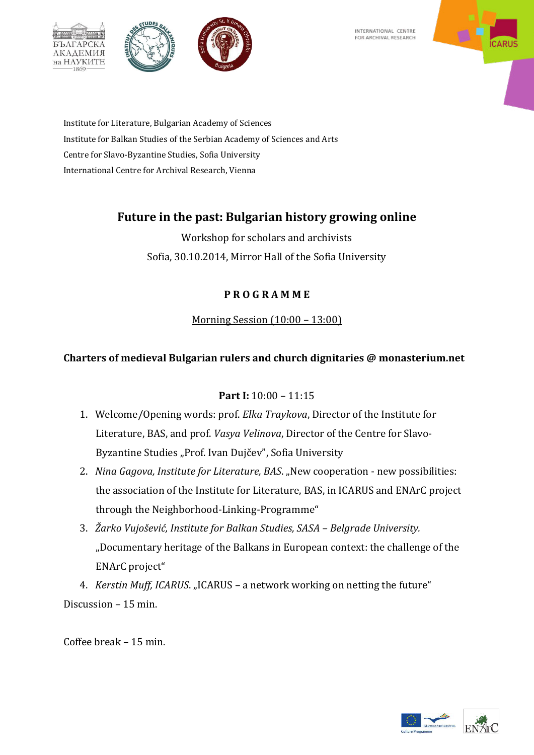INTERNATIONAL CENTRE FOR ARCHIVAL RESEARCH



Institute for Literature, Bulgarian Academy of Sciences Institute for Balkan Studies of the Serbian Academy of Sciences and Arts Centre for Slavo-Byzantine Studies, Sofia University International Centre for Archival Research, Vienna

 $\frac{1}{2}$ 

**AKAAEMUS** на НАУКИТЕ 1860

## **Future in the past: Bulgarian history growing online**

Workshop for scholars and archivists Sofia, 30.10.2014, Mirror Hall of the Sofia University

### **P R O G R A M M E**

### Morning Session (10:00 – 13:00)

### **Charters of medieval Bulgarian rulers and church dignitaries @ monasterium.net**

### **Part I:** 10:00 – 11:15

- 1. Welcome/Opening words: prof. *Elka Traykova*, Director of the Institute for Literature, BAS, and prof. *Vasya Velinova*, Director of the Centre for Slavo-Byzantine Studies "Prof. Ivan Dujčev", Sofia University
- 2. *Nina Gagova, Institute for Literature, BAS.* "New cooperation new possibilities: the association of the Institute for Literature, BAS, in ICARUS and ENArC project through the Neighborhood-Linking-Programme"
- 3. *Žarko Vujošević, Institute for Balkan Studies, SASA – Belgrade University.*  "Documentary heritage of the Balkans in European context: the challenge of the ENArC project"

4. *Kerstin Muff, ICARUS.* "ICARUS – a network working on netting the future" Discussion – 15 min.

Coffee break – 15 min.

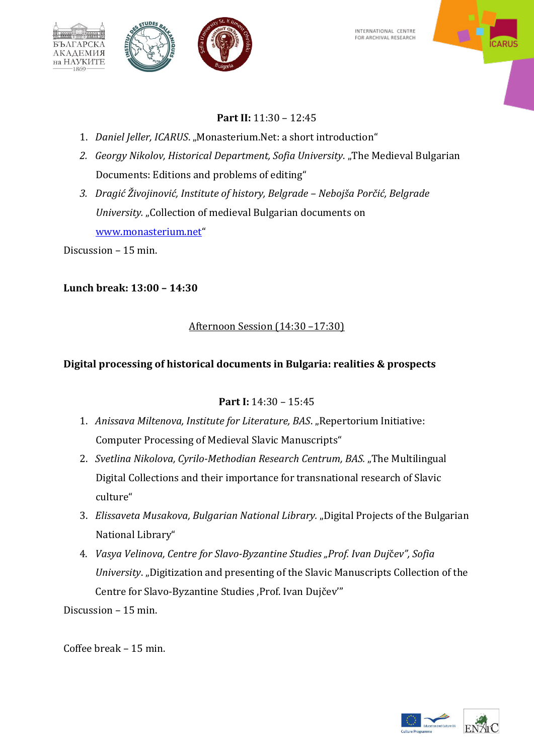

INTERNATIONAL CENTRE FOR ARCHIVAL RESEARCH



### **Part II:** 11:30 – 12:45

- 1. Daniel Jeller, ICARUS. "Monasterium.Net: a short introduction"
- 2. *Georgy Nikolov, Historical Department, Sofia University.* "The Medieval Bulgarian Documents: Editions and problems of editing"
- *3. Dragić Živojinović, Institute of history, Belgrade – Nebojša Porčić, Belgrade University.* "Collection of medieval Bulgarian documents on [www.monasterium.net](http://www.monasterium.net/)"

Discussion – 15 min.

#### **Lunch break: 13:00 – 14:30**

#### Afternoon Session (14:30 –17:30)

#### **Digital processing of historical documents in Bulgaria: realities & prospects**

#### **Part I:** 14:30 – 15:45

- 1. *Anissava Miltenova, Institute for Literature, BAS.* "Repertorium Initiative: Computer Processing of Medieval Slavic Manuscripts"
- 2. *Svetlina Nikolova, Cyrilo-Methodian Research Centrum, BAS.*, The Multilingual Digital Collections and their importance for transnational research of Slavic culture"
- 3. *Elissaveta Musakova, Bulgarian National Library.* "Digital Projects of the Bulgarian National Library"
- 4. *Vasya Velinova, Centre for Slavo-Byzantine Studies "Prof. Ivan Duj*č*ev", Sofia University.* "Digitization and presenting of the Slavic Manuscripts Collection of the Centre for Slavo-Byzantine Studies ,Prof. Ivan Dujčev'"

Discussion – 15 min.

Coffee break – 15 min.

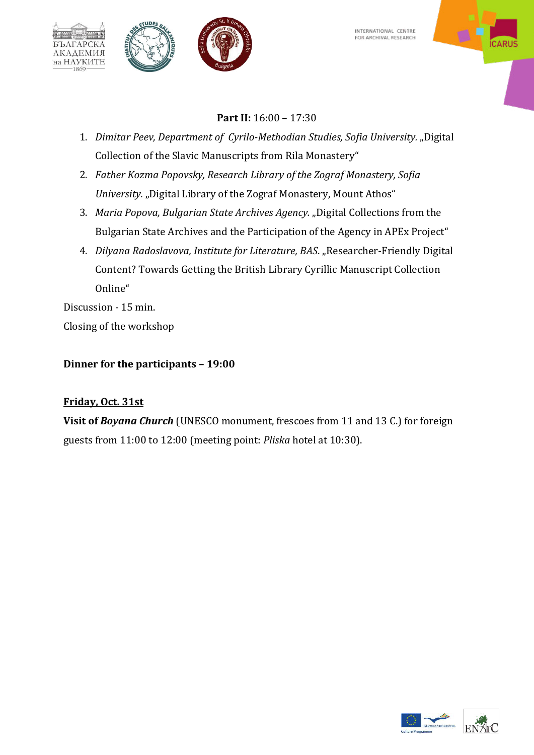INTERNATIONAL CENTRE FOR ARCHIVAL RESEARCH



# **Part IІ:** 16:00 – 17:30

- 1. *Dimitar Peev, Department o[f Cyrilo-Methodian Studies,](https://www.uni-sofia.bg/index.php/eng/the_university/faculties/faculty_of_slavic_studies/structures/departments/cyril_and_methodius_studies) Sofia University.* "Digital Collection of the Slavic Manuscripts from Rila Monastery"
- 2. *Father Kozma Popovsky, Research Library of the Zograf Monastery, Sofia University.* "Digital Library of the Zograf Monastery, Mount Athos"
- 3. *Maria Popova, Bulgarian State Archives Agency.* "Digital Collections from the Bulgarian State Archives and the Participation of the Agency in APEx Project"
- 4. *Dilyana Radoslavova, Institute for Literature, BAS.* "Researcher-Friendly Digital Content? Towards Getting the British Library Cyrillic Manuscript Collection Online"

Discussion - 15 min. Closing of the workshop

 $\frac{1}{2}$ 

**АКАДЕМИЯ** на НАУКИТЕ  $-1869$ 

**Dinner for the participants – 19:00** 

## **Friday, Oct. 31st**

**Visit of** *Boyana Church* (UNESCO monument, frescoes from 11 and 13 C.) for foreign guests from 11:00 to 12:00 (meeting point: *Pliska* hotel at 10:30).



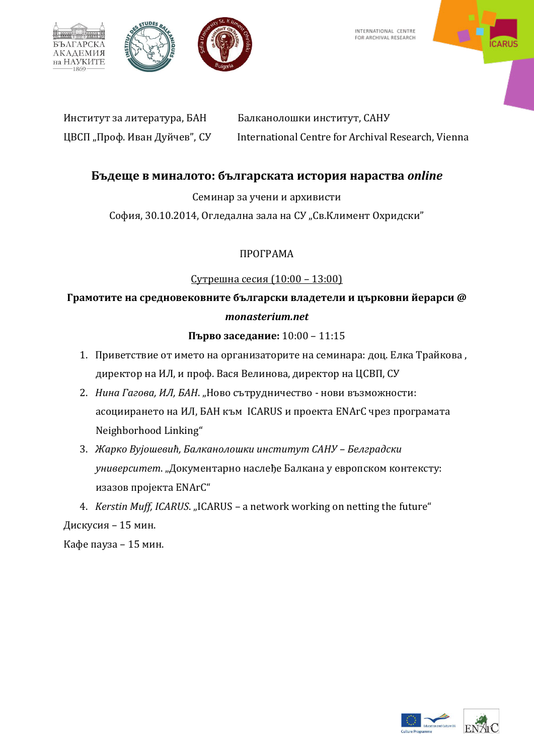

 $\frac{1}{2}$ 



INTERNATIONAL CENTRE FOR ARCHIVAL RESEARCH



Институт за литература, БАН Балканолошки институт, САНУ ЦВСП "Проф. Иван Дуйчев", СУ International Centre for Archival Research, Vienna

### **ʐ˝ˇˈ˜ˈ ˅ ˏˋː˃ˎˑ˕ˑ: ˄˝ˎˆ˃˓˔ˍ˃˕˃ ˋ˔˕ˑ˓ˋя ː˃˓˃˔˕˅˃** *online*

Семинар за учени и архивисти

София, 30.10.2014, Огледална зала на СУ "Св.Климент Охридски"

### ΠΡΟΓΡΑΜΑ

### Сутрешна сесия (10:00 – 13:00)

## Грамотите на средновековните български владетели и църковни йерарси @ *monasterium.net*

#### Първо заседание: 10:00 - 11:15

- 1. Приветствие от името на организаторите на семинара: доц. Елка Трайкова, директор на ИЛ, и проф. Вася Велинова, директор на ЦСВП, СУ
- 2. *Нина Гагова, ИЛ, БАН. "*Ново сътрудничество нови възможности: асоциирането на ИЛ, БАН към ICARUS и проекта ENArC чрез програмата Neighborhood Linking"
- 3. Жарко Вујошевић, Балканолошки институт САНУ Белградски *университет. "Документарно наслеђе Балкана у европском контексту:* изазов пројекта ENArC"
- 4. *Kerstin Muff, ICARUS*. "ICARUS a network working on netting the future"

### Дискусия – 15 мин.

Кафе пауза – 15 мин.

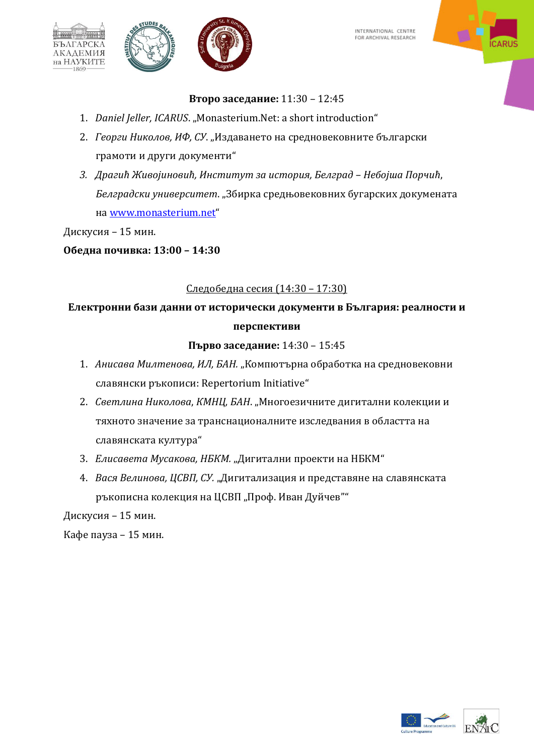



# **Второ заседание: 11:30 - 12:45**

- 1. *Daniel Jeller, ICARUS.* "Monasterium.Net: a short introduction"
- 2. *Георги Николов, ИФ, СУ. "Издаването на средновековните български* грамоти и други документи"
- *3. ʓ˓˃ˆˋћ ʕˋ˅ˑјˋːˑ˅ˋћ, ʗː˔˕ˋ˕˖˕ ˊ˃ ˋ˔˕ˑ˓ˋя, ʐˈˎˆ˓˃ˇ – ʜˈ˄ˑј˛˃ ʞˑ˓˚ˋћ*, Белградски университет. "Збирка средњовековних бугарских докумената Ha [www.monasterium.net](http://www.monasterium.net/)"

Дискусия – 15 мин.

 $\frac{1}{2}$ 

**АКАДЕМИЯ** на НАУКИТЕ 1869

**ʝ˄ˈˇː˃ ˒ˑ˚ˋ˅ˍ˃: 13:00 – 14:30**

# Следобедна сесия (14:30 – 17:30)

# Електронни бази данни от исторически документи в България: реалности и перспективи

## Първо заседание: 14:30 - 15:45

- 1. *Анисава Милтенова, ИЛ, БАН. "*Компютърна обработка на средновековни славянски ръкописи: Repertorium Initiative"
- 2. Светлина Николова, КМНЦ, БАН. "Многоезичните дигитални колекции и тяхното значение за транснационалните изследвания в областта на славянската култура"
- З. *Елисавета Мусакова, НБКМ. "Дигитални проекти на НБКМ"*
- 4. *Вася Велинова, ЦСВП, СУ. "Дигитализация и представяне на славянската* ръкописна колекция на ЦСВП "Проф. Иван Дуйчев""

Дискусия – 15 мин.

Кафе пауза – 15 мин.